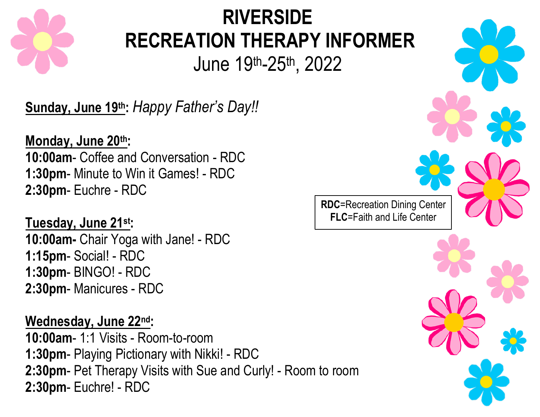

# **RIVERSIDE RECREATION THERAPY INFORMER** June 19th-25th , 2022

**Sunday, June 19th:** *Happy Father's Day!!*

**Monday, June 20th: 10:00am**- Coffee and Conversation - RDC **1:30pm**- Minute to Win it Games! - RDC **2:30pm**- Euchre - RDC

**Tuesday, June 21st: 10:00am-** Chair Yoga with Jane! - RDC **1:15pm**- Social! - RDC **1:30pm**- BINGO! - RDC **2:30pm**- Manicures - RDC

**Wednesday, June 22nd**: **10:00am-** 1:1 Visits - Room-to-room 1:30pm- Playing Pictionary with Nikki! - RDC **2:30pm**- Pet Therapy Visits with Sue and Curly! - Room to room **2:30pm**- Euchre! - RDC

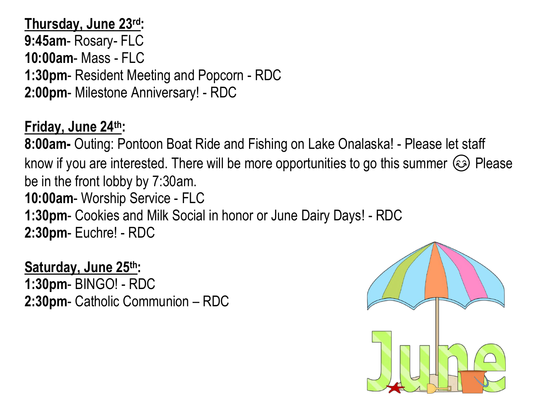**Thursday, June 23rd: 9:45am**- Rosary- FLC **10:00am**- Mass - FLC **1:30pm**- Resident Meeting and Popcorn - RDC **2:00pm**- Milestone Anniversary! - RDC

## **Friday, June 24th:**

**8:00am-** Outing: Pontoon Boat Ride and Fishing on Lake Onalaska! - Please let staff know if you are interested. There will be more opportunities to go this summer  $\circledast$  Please be in the front lobby by 7:30am. **10:00am**- Worship Service - FLC **1:30pm**- Cookies and Milk Social in honor or June Dairy Days! - RDC

**2:30pm**- Euchre! - RDC

**Saturday, June 25th: 1:30pm**- BINGO! - RDC **2:30pm**- Catholic Communion – RDC

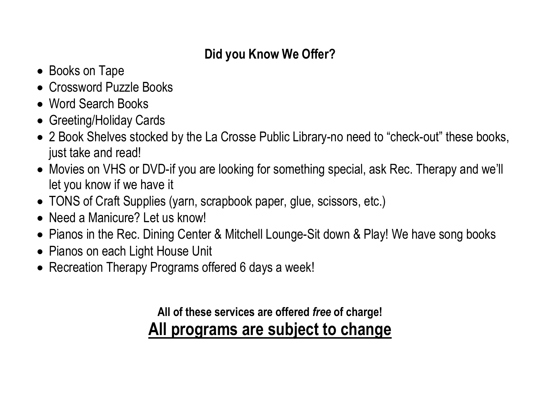## **Did you Know We Offer?**

- Books on Tape
- Crossword Puzzle Books
- Word Search Books
- Greeting/Holiday Cards
- 2 Book Shelves stocked by the La Crosse Public Library-no need to "check-out" these books, just take and read!
- Movies on VHS or DVD-if you are looking for something special, ask Rec. Therapy and we'll let you know if we have it
- TONS of Craft Supplies (yarn, scrapbook paper, glue, scissors, etc.)
- Need a Manicure? Let us know!
- Pianos in the Rec. Dining Center & Mitchell Lounge-Sit down & Play! We have song books
- Pianos on each Light House Unit
- Recreation Therapy Programs offered 6 days a week!

## **All of these services are offered** *free* **of charge! All programs are subject to change**